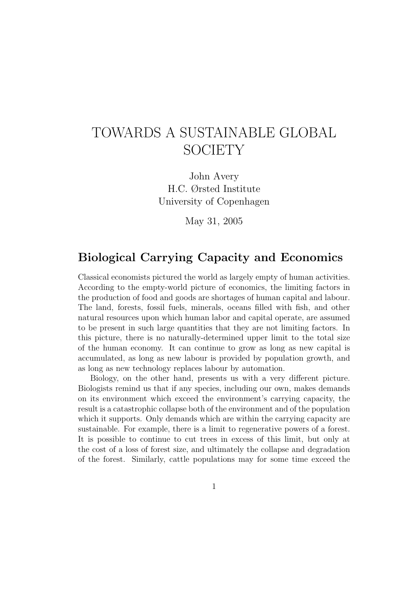# TOWARDS A SUSTAINABLE GLOBAL **SOCIETY**

John Avery H.C. Ørsted Institute University of Copenhagen

May 31, 2005

# Biological Carrying Capacity and Economics

Classical economists pictured the world as largely empty of human activities. According to the empty-world picture of economics, the limiting factors in the production of food and goods are shortages of human capital and labour. The land, forests, fossil fuels, minerals, oceans filled with fish, and other natural resources upon which human labor and capital operate, are assumed to be present in such large quantities that they are not limiting factors. In this picture, there is no naturally-determined upper limit to the total size of the human economy. It can continue to grow as long as new capital is accumulated, as long as new labour is provided by population growth, and as long as new technology replaces labour by automation.

Biology, on the other hand, presents us with a very different picture. Biologists remind us that if any species, including our own, makes demands on its environment which exceed the environment's carrying capacity, the result is a catastrophic collapse both of the environment and of the population which it supports. Only demands which are within the carrying capacity are sustainable. For example, there is a limit to regenerative powers of a forest. It is possible to continue to cut trees in excess of this limit, but only at the cost of a loss of forest size, and ultimately the collapse and degradation of the forest. Similarly, cattle populations may for some time exceed the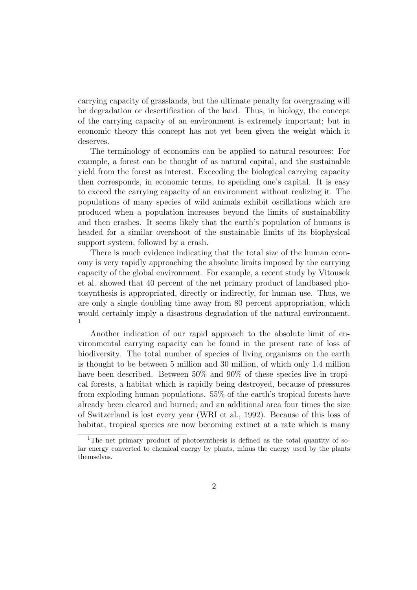carrying capacity of grasslands, but the ultimate penalty for overgrazing will be degradation or desertification of the land. Thus, in biology, the concept of the carrying capacity of an environment is extremely important; but in economic theory this concept has not yet been given the weight which it deserves.

The terminology of economics can be applied to natural resources: For example, a forest can be thought of as natural capital, and the sustainable yield from the forest as interest. Exceeding the biological carrying capacity then corresponds, in economic terms, to spending one's capital. It is easy to exceed the carrying capacity of an environment without realizing it. The populations of many species of wild animals exhibit oscillations which are produced when a population increases beyond the limits of sustainability and then crashes. It seems likely that the earth's population of humans is headed for a similar overshoot of the sustainable limits of its biophysical support system, followed by a crash.

There is much evidence indicating that the total size of the human economy is very rapidly approaching the absolute limits imposed by the carrying capacity of the global environment. For example, a recent study by Vitousek et al. showed that 40 percent of the net primary product of landbased photosynthesis is appropriated, directly or indirectly, for human use. Thus, we are only a single doubling time away from 80 percent appropriation, which would certainly imply a disastrous degradation of the natural environment. 1

Another indication of our rapid approach to the absolute limit of environmental carrying capacity can be found in the present rate of loss of biodiversity. The total number of species of living organisms on the earth is thought to be between 5 million and 30 million, of which only 1.4 million have been described. Between 50% and 90% of these species live in tropical forests, a habitat which is rapidly being destroyed, because of pressures from exploding human populations. 55% of the earth's tropical forests have already been cleared and burned; and an additional area four times the size of Switzerland is lost every year (WRI et al., 1992). Because of this loss of habitat, tropical species are now becoming extinct at a rate which is many

<sup>&</sup>lt;sup>1</sup>The net primary product of photosynthesis is defined as the total quantity of solar energy converted to chemical energy by plants, minus the energy used by the plants themselves.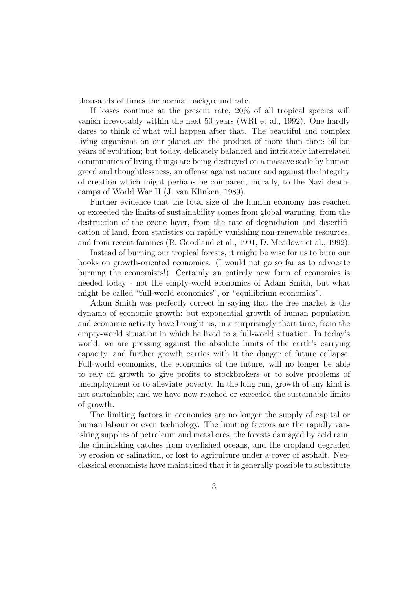thousands of times the normal background rate.

If losses continue at the present rate, 20% of all tropical species will vanish irrevocably within the next 50 years (WRI et al., 1992). One hardly dares to think of what will happen after that. The beautiful and complex living organisms on our planet are the product of more than three billion years of evolution; but today, delicately balanced and intricately interrelated communities of living things are being destroyed on a massive scale by human greed and thoughtlessness, an offense against nature and against the integrity of creation which might perhaps be compared, morally, to the Nazi deathcamps of World War II (J. van Klinken, 1989).

Further evidence that the total size of the human economy has reached or exceeded the limits of sustainability comes from global warming, from the destruction of the ozone layer, from the rate of degradation and desertification of land, from statistics on rapidly vanishing non-renewable resources, and from recent famines (R. Goodland et al., 1991, D. Meadows et al., 1992).

Instead of burning our tropical forests, it might be wise for us to burn our books on growth-oriented economics. (I would not go so far as to advocate burning the economists!) Certainly an entirely new form of economics is needed today - not the empty-world economics of Adam Smith, but what might be called "full-world economics", or "equilibrium economics".

Adam Smith was perfectly correct in saying that the free market is the dynamo of economic growth; but exponential growth of human population and economic activity have brought us, in a surprisingly short time, from the empty-world situation in which he lived to a full-world situation. In today's world, we are pressing against the absolute limits of the earth's carrying capacity, and further growth carries with it the danger of future collapse. Full-world economics, the economics of the future, will no longer be able to rely on growth to give profits to stockbrokers or to solve problems of unemployment or to alleviate poverty. In the long run, growth of any kind is not sustainable; and we have now reached or exceeded the sustainable limits of growth.

The limiting factors in economics are no longer the supply of capital or human labour or even technology. The limiting factors are the rapidly vanishing supplies of petroleum and metal ores, the forests damaged by acid rain, the diminishing catches from overfished oceans, and the cropland degraded by erosion or salination, or lost to agriculture under a cover of asphalt. Neoclassical economists have maintained that it is generally possible to substitute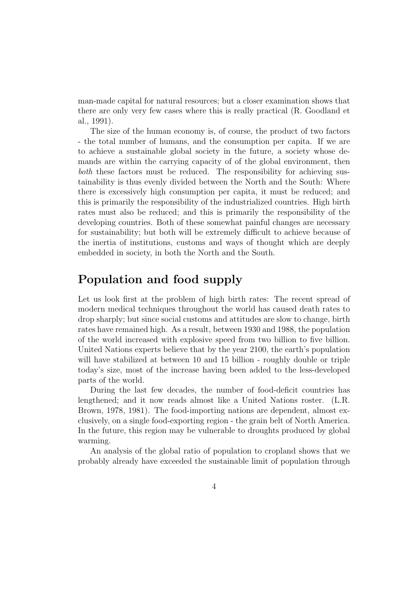man-made capital for natural resources; but a closer examination shows that there are only very few cases where this is really practical (R. Goodland et al., 1991).

The size of the human economy is, of course, the product of two factors - the total number of humans, and the consumption per capita. If we are to achieve a sustainable global society in the future, a society whose demands are within the carrying capacity of of the global environment, then both these factors must be reduced. The responsibility for achieving sustainability is thus evenly divided between the North and the South: Where there is excessively high consumption per capita, it must be reduced; and this is primarily the responsibility of the industrialized countries. High birth rates must also be reduced; and this is primarily the responsibility of the developing countries. Both of these somewhat painful changes are necessary for sustainability; but both will be extremely difficult to achieve because of the inertia of institutions, customs and ways of thought which are deeply embedded in society, in both the North and the South.

# Population and food supply

Let us look first at the problem of high birth rates: The recent spread of modern medical techniques throughout the world has caused death rates to drop sharply; but since social customs and attitudes are slow to change, birth rates have remained high. As a result, between 1930 and 1988, the population of the world increased with explosive speed from two billion to five billion. United Nations experts believe that by the year 2100, the earth's population will have stabilized at between 10 and 15 billion - roughly double or triple today's size, most of the increase having been added to the less-developed parts of the world.

During the last few decades, the number of food-deficit countries has lengthened; and it now reads almost like a United Nations roster. (L.R. Brown, 1978, 1981). The food-importing nations are dependent, almost exclusively, on a single food-exporting region - the grain belt of North America. In the future, this region may be vulnerable to droughts produced by global warming.

An analysis of the global ratio of population to cropland shows that we probably already have exceeded the sustainable limit of population through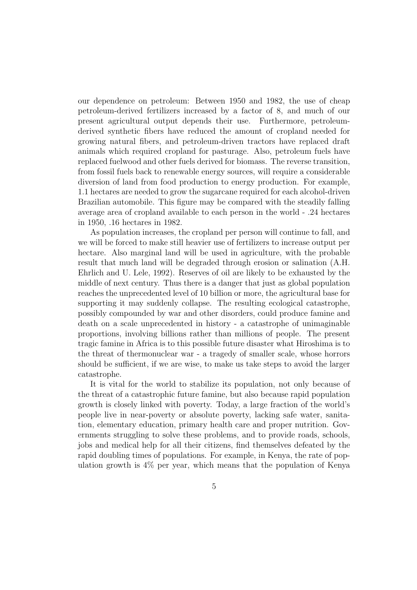our dependence on petroleum: Between 1950 and 1982, the use of cheap petroleum-derived fertilizers increased by a factor of 8, and much of our present agricultural output depends their use. Furthermore, petroleumderived synthetic fibers have reduced the amount of cropland needed for growing natural fibers, and petroleum-driven tractors have replaced draft animals which required cropland for pasturage. Also, petroleum fuels have replaced fuelwood and other fuels derived for biomass. The reverse transition, from fossil fuels back to renewable energy sources, will require a considerable diversion of land from food production to energy production. For example, 1.1 hectares are needed to grow the sugarcane required for each alcohol-driven Brazilian automobile. This figure may be compared with the steadily falling average area of cropland available to each person in the world - .24 hectares in 1950, .16 hectares in 1982.

As population increases, the cropland per person will continue to fall, and we will be forced to make still heavier use of fertilizers to increase output per hectare. Also marginal land will be used in agriculture, with the probable result that much land will be degraded through erosion or salination (A.H. Ehrlich and U. Lele, 1992). Reserves of oil are likely to be exhausted by the middle of next century. Thus there is a danger that just as global population reaches the unprecedented level of 10 billion or more, the agricultural base for supporting it may suddenly collapse. The resulting ecological catastrophe, possibly compounded by war and other disorders, could produce famine and death on a scale unprecedented in history - a catastrophe of unimaginable proportions, involving billions rather than millions of people. The present tragic famine in Africa is to this possible future disaster what Hiroshima is to the threat of thermonuclear war - a tragedy of smaller scale, whose horrors should be sufficient, if we are wise, to make us take steps to avoid the larger catastrophe.

It is vital for the world to stabilize its population, not only because of the threat of a catastrophic future famine, but also because rapid population growth is closely linked with poverty. Today, a large fraction of the world's people live in near-poverty or absolute poverty, lacking safe water, sanitation, elementary education, primary health care and proper nutrition. Governments struggling to solve these problems, and to provide roads, schools, jobs and medical help for all their citizens, find themselves defeated by the rapid doubling times of populations. For example, in Kenya, the rate of population growth is  $4\%$  per year, which means that the population of Kenya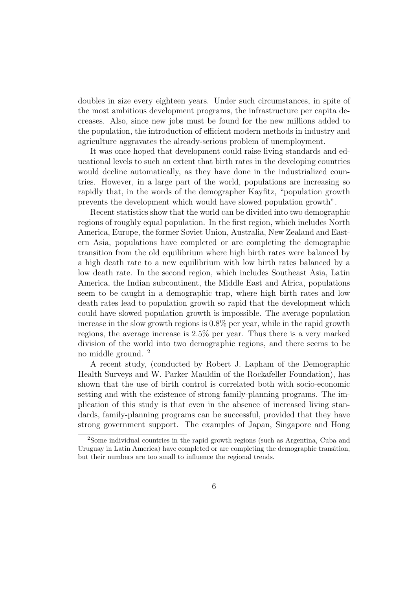doubles in size every eighteen years. Under such circumstances, in spite of the most ambitious development programs, the infrastructure per capita decreases. Also, since new jobs must be found for the new millions added to the population, the introduction of efficient modern methods in industry and agriculture aggravates the already-serious problem of unemployment.

It was once hoped that development could raise living standards and educational levels to such an extent that birth rates in the developing countries would decline automatically, as they have done in the industrialized countries. However, in a large part of the world, populations are increasing so rapidly that, in the words of the demographer Kayfitz, "population growth prevents the development which would have slowed population growth".

Recent statistics show that the world can be divided into two demographic regions of roughly equal population. In the first region, which includes North America, Europe, the former Soviet Union, Australia, New Zealand and Eastern Asia, populations have completed or are completing the demographic transition from the old equilibrium where high birth rates were balanced by a high death rate to a new equilibrium with low birth rates balanced by a low death rate. In the second region, which includes Southeast Asia, Latin America, the Indian subcontinent, the Middle East and Africa, populations seem to be caught in a demographic trap, where high birth rates and low death rates lead to population growth so rapid that the development which could have slowed population growth is impossible. The average population increase in the slow growth regions is 0.8% per year, while in the rapid growth regions, the average increase is 2.5% per year. Thus there is a very marked division of the world into two demographic regions, and there seems to be no middle ground. <sup>2</sup>

A recent study, (conducted by Robert J. Lapham of the Demographic Health Surveys and W. Parker Mauldin of the Rockafeller Foundation), has shown that the use of birth control is correlated both with socio-economic setting and with the existence of strong family-planning programs. The implication of this study is that even in the absence of increased living standards, family-planning programs can be successful, provided that they have strong government support. The examples of Japan, Singapore and Hong

<sup>2</sup>Some individual countries in the rapid growth regions (such as Argentina, Cuba and Uruguay in Latin America) have completed or are completing the demographic transition, but their numbers are too small to influence the regional trends.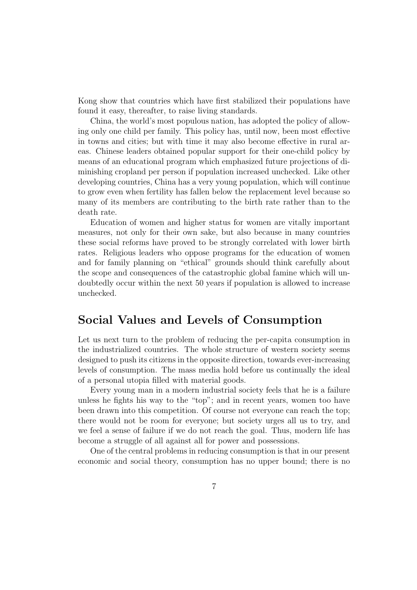Kong show that countries which have first stabilized their populations have found it easy, thereafter, to raise living standards.

China, the world's most populous nation, has adopted the policy of allowing only one child per family. This policy has, until now, been most effective in towns and cities; but with time it may also become effective in rural areas. Chinese leaders obtained popular support for their one-child policy by means of an educational program which emphasized future projections of diminishing cropland per person if population increased unchecked. Like other developing countries, China has a very young population, which will continue to grow even when fertility has fallen below the replacement level because so many of its members are contributing to the birth rate rather than to the death rate.

Education of women and higher status for women are vitally important measures, not only for their own sake, but also because in many countries these social reforms have proved to be strongly correlated with lower birth rates. Religious leaders who oppose programs for the education of women and for family planning on "ethical" grounds should think carefully about the scope and consequences of the catastrophic global famine which will undoubtedly occur within the next 50 years if population is allowed to increase unchecked.

### Social Values and Levels of Consumption

Let us next turn to the problem of reducing the per-capita consumption in the industrialized countries. The whole structure of western society seems designed to push its citizens in the opposite direction, towards ever-increasing levels of consumption. The mass media hold before us continually the ideal of a personal utopia filled with material goods.

Every young man in a modern industrial society feels that he is a failure unless he fights his way to the "top"; and in recent years, women too have been drawn into this competition. Of course not everyone can reach the top; there would not be room for everyone; but society urges all us to try, and we feel a sense of failure if we do not reach the goal. Thus, modern life has become a struggle of all against all for power and possessions.

One of the central problems in reducing consumption is that in our present economic and social theory, consumption has no upper bound; there is no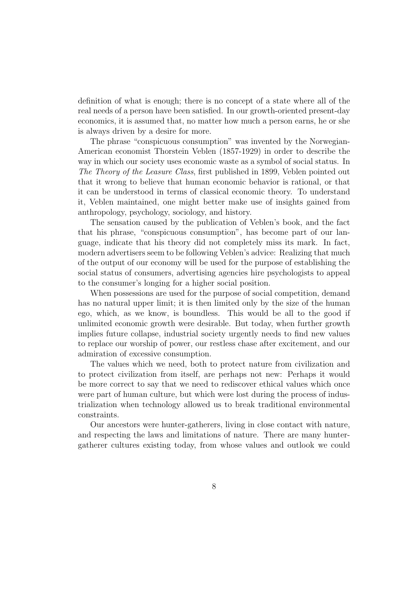definition of what is enough; there is no concept of a state where all of the real needs of a person have been satisfied. In our growth-oriented present-day economics, it is assumed that, no matter how much a person earns, he or she is always driven by a desire for more.

The phrase "conspicuous consumption" was invented by the Norwegian-American economist Thorstein Veblen (1857-1929) in order to describe the way in which our society uses economic waste as a symbol of social status. In The Theory of the Leasure Class, first published in 1899, Veblen pointed out that it wrong to believe that human economic behavior is rational, or that it can be understood in terms of classical economic theory. To understand it, Veblen maintained, one might better make use of insights gained from anthropology, psychology, sociology, and history.

The sensation caused by the publication of Veblen's book, and the fact that his phrase, "conspicuous consumption", has become part of our language, indicate that his theory did not completely miss its mark. In fact, modern advertisers seem to be following Veblen's advice: Realizing that much of the output of our economy will be used for the purpose of establishing the social status of consumers, advertising agencies hire psychologists to appeal to the consumer's longing for a higher social position.

When possessions are used for the purpose of social competition, demand has no natural upper limit; it is then limited only by the size of the human ego, which, as we know, is boundless. This would be all to the good if unlimited economic growth were desirable. But today, when further growth implies future collapse, industrial society urgently needs to find new values to replace our worship of power, our restless chase after excitement, and our admiration of excessive consumption.

The values which we need, both to protect nature from civilization and to protect civilization from itself, are perhaps not new: Perhaps it would be more correct to say that we need to rediscover ethical values which once were part of human culture, but which were lost during the process of industrialization when technology allowed us to break traditional environmental constraints.

Our ancestors were hunter-gatherers, living in close contact with nature, and respecting the laws and limitations of nature. There are many huntergatherer cultures existing today, from whose values and outlook we could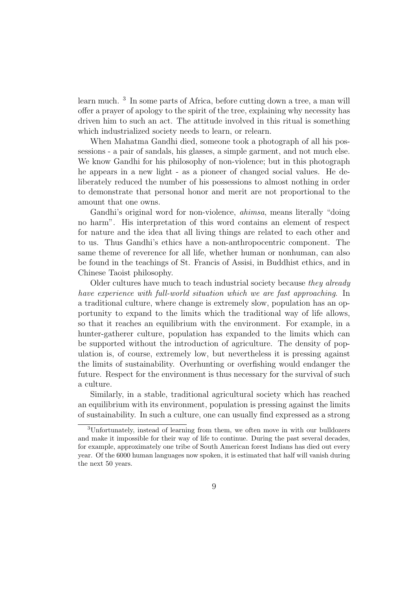learn much.<sup>3</sup> In some parts of Africa, before cutting down a tree, a man will offer a prayer of apology to the spirit of the tree, explaining why necessity has driven him to such an act. The attitude involved in this ritual is something which industrialized society needs to learn, or relearn.

When Mahatma Gandhi died, someone took a photograph of all his possessions - a pair of sandals, his glasses, a simple garment, and not much else. We know Gandhi for his philosophy of non-violence; but in this photograph he appears in a new light - as a pioneer of changed social values. He deliberately reduced the number of his possessions to almost nothing in order to demonstrate that personal honor and merit are not proportional to the amount that one owns.

Gandhi's original word for non-violence, *ahimsa*, means literally "doing" no harm". His interpretation of this word contains an element of respect for nature and the idea that all living things are related to each other and to us. Thus Gandhi's ethics have a non-anthropocentric component. The same theme of reverence for all life, whether human or nonhuman, can also be found in the teachings of St. Francis of Assisi, in Buddhist ethics, and in Chinese Taoist philosophy.

Older cultures have much to teach industrial society because they already have experience with full-world situation which we are fast approaching. In a traditional culture, where change is extremely slow, population has an opportunity to expand to the limits which the traditional way of life allows, so that it reaches an equilibrium with the environment. For example, in a hunter-gatherer culture, population has expanded to the limits which can be supported without the introduction of agriculture. The density of population is, of course, extremely low, but nevertheless it is pressing against the limits of sustainability. Overhunting or overfishing would endanger the future. Respect for the environment is thus necessary for the survival of such a culture.

Similarly, in a stable, traditional agricultural society which has reached an equilibrium with its environment, population is pressing against the limits of sustainability. In such a culture, one can usually find expressed as a strong

<sup>3</sup>Unfortunately, instead of learning from them, we often move in with our bulldozers and make it impossible for their way of life to continue. During the past several decades, for example, approximately one tribe of South American forest Indians has died out every year. Of the 6000 human languages now spoken, it is estimated that half will vanish during the next 50 years.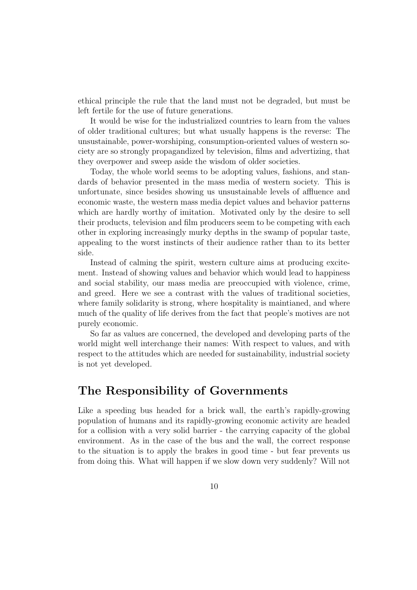ethical principle the rule that the land must not be degraded, but must be left fertile for the use of future generations.

It would be wise for the industrialized countries to learn from the values of older traditional cultures; but what usually happens is the reverse: The unsustainable, power-worshiping, consumption-oriented values of western society are so strongly propagandized by television, films and advertizing, that they overpower and sweep aside the wisdom of older societies.

Today, the whole world seems to be adopting values, fashions, and standards of behavior presented in the mass media of western society. This is unfortunate, since besides showing us unsustainable levels of affluence and economic waste, the western mass media depict values and behavior patterns which are hardly worthy of imitation. Motivated only by the desire to sell their products, television and film producers seem to be competing with each other in exploring increasingly murky depths in the swamp of popular taste, appealing to the worst instincts of their audience rather than to its better side.

Instead of calming the spirit, western culture aims at producing excitement. Instead of showing values and behavior which would lead to happiness and social stability, our mass media are preoccupied with violence, crime, and greed. Here we see a contrast with the values of traditional societies, where family solidarity is strong, where hospitality is maintianed, and where much of the quality of life derives from the fact that people's motives are not purely economic.

So far as values are concerned, the developed and developing parts of the world might well interchange their names: With respect to values, and with respect to the attitudes which are needed for sustainability, industrial society is not yet developed.

# The Responsibility of Governments

Like a speeding bus headed for a brick wall, the earth's rapidly-growing population of humans and its rapidly-growing economic activity are headed for a collision with a very solid barrier - the carrying capacity of the global environment. As in the case of the bus and the wall, the correct response to the situation is to apply the brakes in good time - but fear prevents us from doing this. What will happen if we slow down very suddenly? Will not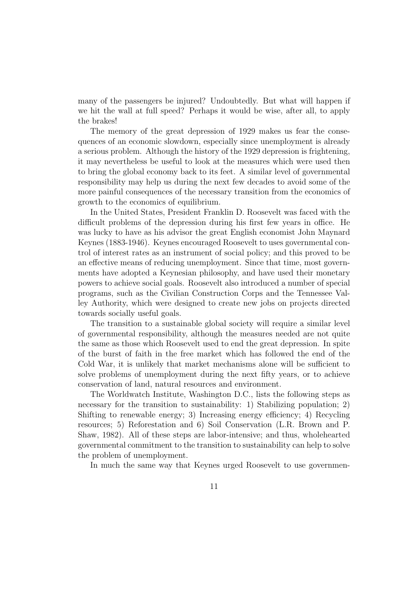many of the passengers be injured? Undoubtedly. But what will happen if we hit the wall at full speed? Perhaps it would be wise, after all, to apply the brakes!

The memory of the great depression of 1929 makes us fear the consequences of an economic slowdown, especially since unemployment is already a serious problem. Although the history of the 1929 depression is frightening, it may nevertheless be useful to look at the measures which were used then to bring the global economy back to its feet. A similar level of governmental responsibility may help us during the next few decades to avoid some of the more painful consequences of the necessary transition from the economics of growth to the economics of equilibrium.

In the United States, President Franklin D. Roosevelt was faced with the difficult problems of the depression during his first few years in office. He was lucky to have as his advisor the great English economist John Maynard Keynes (1883-1946). Keynes encouraged Roosevelt to uses governmental control of interest rates as an instrument of social policy; and this proved to be an effective means of reducing unemployment. Since that time, most governments have adopted a Keynesian philosophy, and have used their monetary powers to achieve social goals. Roosevelt also introduced a number of special programs, such as the Civilian Construction Corps and the Tennessee Valley Authority, which were designed to create new jobs on projects directed towards socially useful goals.

The transition to a sustainable global society will require a similar level of governmental responsibility, although the measures needed are not quite the same as those which Roosevelt used to end the great depression. In spite of the burst of faith in the free market which has followed the end of the Cold War, it is unlikely that market mechanisms alone will be sufficient to solve problems of unemployment during the next fifty years, or to achieve conservation of land, natural resources and environment.

The Worldwatch Institute, Washington D.C., lists the following steps as necessary for the transition to sustainability: 1) Stabilizing population; 2) Shifting to renewable energy; 3) Increasing energy efficiency; 4) Recycling resources; 5) Reforestation and 6) Soil Conservation (L.R. Brown and P. Shaw, 1982). All of these steps are labor-intensive; and thus, wholehearted governmental commitment to the transition to sustainability can help to solve the problem of unemployment.

In much the same way that Keynes urged Roosevelt to use governmen-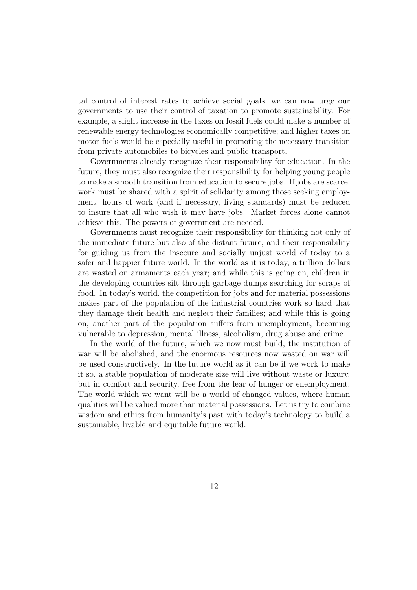tal control of interest rates to achieve social goals, we can now urge our governments to use their control of taxation to promote sustainability. For example, a slight increase in the taxes on fossil fuels could make a number of renewable energy technologies economically competitive; and higher taxes on motor fuels would be especially useful in promoting the necessary transition from private automobiles to bicycles and public transport.

Governments already recognize their responsibility for education. In the future, they must also recognize their responsibility for helping young people to make a smooth transition from education to secure jobs. If jobs are scarce, work must be shared with a spirit of solidarity among those seeking employment; hours of work (and if necessary, living standards) must be reduced to insure that all who wish it may have jobs. Market forces alone cannot achieve this. The powers of government are needed.

Governments must recognize their responsibility for thinking not only of the immediate future but also of the distant future, and their responsibility for guiding us from the insecure and socially unjust world of today to a safer and happier future world. In the world as it is today, a trillion dollars are wasted on armaments each year; and while this is going on, children in the developing countries sift through garbage dumps searching for scraps of food. In today's world, the competition for jobs and for material possessions makes part of the population of the industrial countries work so hard that they damage their health and neglect their families; and while this is going on, another part of the population suffers from unemployment, becoming vulnerable to depression, mental illness, alcoholism, drug abuse and crime.

In the world of the future, which we now must build, the institution of war will be abolished, and the enormous resources now wasted on war will be used constructively. In the future world as it can be if we work to make it so, a stable population of moderate size will live without waste or luxury, but in comfort and security, free from the fear of hunger or enemployment. The world which we want will be a world of changed values, where human qualities will be valued more than material possessions. Let us try to combine wisdom and ethics from humanity's past with today's technology to build a sustainable, livable and equitable future world.